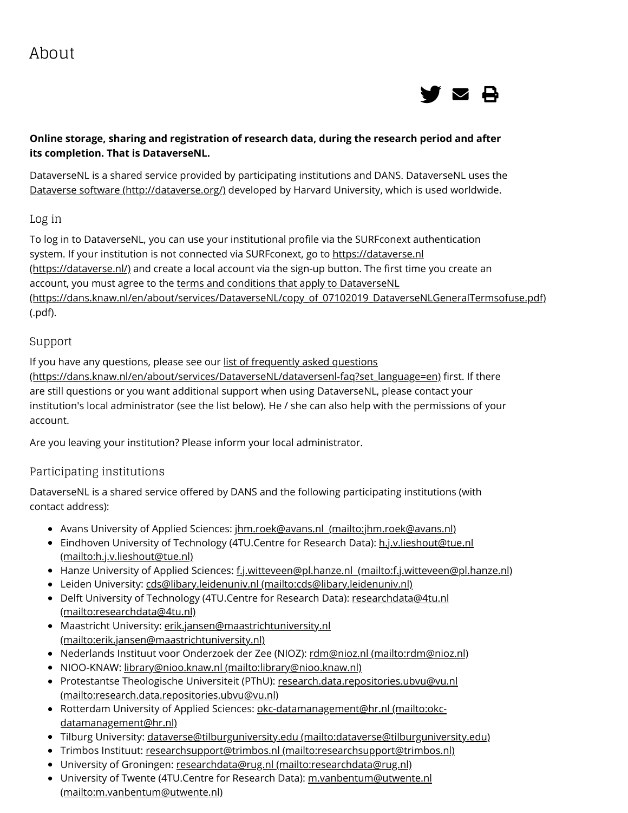

### **Online storage, sharing and registration of research data, during the research period and after its completion. That is DataverseNL.**

DataverseNL is a shared service provided by participating institutions and DANS. DataverseNL uses the [Dataverse software \(http://dataverse.org/\)](http://dataverse.org/) developed by Harvard University, which is used worldwide.

#### Log in

To log in to DataverseNL, you can use your institutional profile via the SURFconext authentication [system. If your institution is not connected via SURFconext, go to https://dataverse.nl](https://dataverse.nl/) (https://dataverse.nl/) and create a local account via the sign-up button. The first time you create an account, you must agree to the terms and conditions that apply to DataverseNL [\(https://dans.knaw.nl/en/about/services/DataverseNL/copy\\_of\\_07102019\\_DataverseNLGeneralTermsofuse.pdf\)](https://dans.knaw.nl/en/about/services/DataverseNL/copy_of_07102019_DataverseNLGeneralTermsofuse.pdf) (.pdf).

### Support

If you have any questions, please see our list of frequently asked questions [\(https://dans.knaw.nl/en/about/services/DataverseNL/dataversenl-faq?set\\_language=en\)](https://dans.knaw.nl/en/about/services/DataverseNL/dataversenl-faq?set_language=en) first. If there are still questions or you want additional support when using DataverseNL, please contact your institution's local administrator (see the list below). He / she can also help with the permissions of your account.

Are you leaving your institution? Please inform your local administrator.

### Participating institutions

DataverseNL is a shared service offered by DANS and the following participating institutions (with contact address):

- Avans University of Applied Sciences: [jhm.roek@avans.nl \(mailto:jhm.roek@avans.nl\)](mailto:jhm.roek@avans.nl)
- **[Eindhoven University of Technology \(4TU.Centre for Research Data\): h.j.v.lieshout@tue.nl](mailto:h.j.v.lieshout@tue.nl)** (mailto:h.j.v.lieshout@tue.nl)
- Hanze University of Applied Sciences: f.j.witteveen@pl.hanze.nl (mailto:f.j.witteveen@pl.hanze.nl)
- Leiden University: [cds@libary.leidenuniv.nl \(mailto:cds@libary.leidenuniv.nl\)](mailto:cds@libary.leidenuniv.nl)
- [Delft University of Technology \(4TU.Centre for Research Data\): researchdata@4tu.nl](mailto:researchdata@4tu.nl) (mailto:researchdata@4tu.nl)
- [Maastricht University: erik.jansen@maastrichtuniversity.nl](mailto:erik.jansen@maastrichtuniversity.nl) (mailto:erik.jansen@maastrichtuniversity.nl)
- Nederlands Instituut voor Onderzoek der Zee (NIOZ): [rdm@nioz.nl \(mailto:rdm@nioz.nl\)](mailto:rdm@nioz.nl)
- NIOO-KNAW: [library@nioo.knaw.nl \(mailto:library@nioo.knaw.nl\)](mailto:library@nioo.knaw.nl)
- [Protestantse Theologische Universiteit \(PThU\): research.data.repositories.ubvu@vu.nl](mailto:research.data.repositories.ubvu@vu.nl) (mailto:research.data.repositories.ubvu@vu.nl)
- [Rotterdam University of Applied Sciences: okc-datamanagement@hr.nl \(mailto:okc](mailto:okc-datamanagement@hr.nl)datamanagement@hr.nl)
- · Tilburg University: [dataverse@tilburguniversity.edu \(mailto:dataverse@tilburguniversity.edu\)](mailto:dataverse@tilburguniversity.edu)
- Trimbos Instituut: [researchsupport@trimbos.nl \(mailto:researchsupport@trimbos.nl\)](mailto:researchsupport@trimbos.nl)
- University of Groningen: [researchdata@rug.nl \(mailto:researchdata@rug.nl\)](mailto:researchdata@rug.nl)
- [University of Twente \(4TU.Centre for Research Data\): m.vanbentum@utwente.nl](mailto:m.vanbentum@utwente.nl) (mailto:m.vanbentum@utwente.nl)